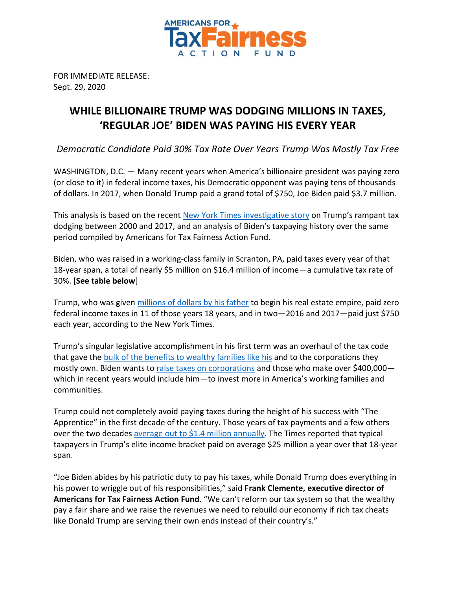

FOR IMMEDIATE RELEASE: Sept. 29, 2020

## **WHILE BILLIONAIRE TRUMP WAS DODGING MILLIONS IN TAXES, 'REGULAR JOE' BIDEN WAS PAYING HIS EVERY YEAR**

*Democratic Candidate Paid 30% Tax Rate Over Years Trump Was Mostly Tax Free*

WASHINGTON, D.C. — Many recent years when America's billionaire president was paying zero (or close to it) in federal income taxes, his Democratic opponent was paying tens of thousands of dollars. In 2017, when Donald Trump paid a grand total of \$750, Joe Biden paid \$3.7 million.

This analysis is based on the recent [New York Times investigative story](https://www.nytimes.com/interactive/2020/09/27/us/donald-trump-taxes.html?smid=tw-nytimes&smtyp=cur) on Trump's rampant tax dodging between 2000 and 2017, and an analysis of Biden's taxpaying history over the same period compiled by Americans for Tax Fairness Action Fund.

Biden, who was raised in a working-class family in Scranton, PA, paid taxes every year of that 18-year span, a total of nearly \$5 million on \$16.4 million of income—a cumulative tax rate of 30%. [**See table below**]

Trump, who was given [millions of dollars by his father](https://www.nytimes.com/interactive/2018/10/02/us/politics/donald-trump-tax-schemes-fred-trump.html) to begin his real estate empire, paid zero federal income taxes in 11 of those years 18 years, and in two—2016 and 2017—paid just \$750 each year, according to the New York Times.

Trump's singular legislative accomplishment in his first term was an overhaul of the tax code that gave the [bulk of the benefits to wealthy families like his](https://americansfortaxfairness.org/wp-content/uploads/Chartbook-Trump-GOP-Tax-Cuts-Fail-Workers-The-Economy-Rev-9-25-20.pdf) and to the corporations they mostly own. Biden wants to [raise taxes on corporations](https://atfactionfund.org/wp-content/uploads/2020/09/4-ATFAF-Joe-Bidens-Tax-Plan-.pdf) and those who make over \$400,000which in recent years would include him—to invest more in America's working families and communities.

Trump could not completely avoid paying taxes during the height of his success with "The Apprentice" in the first decade of the century. Those years of tax payments and a few others over the two decades [average out to \\$1.4 million annually.](https://www.nytimes.com/2020/09/27/us/trump-taxes-takeaways.html) The Times reported that typical taxpayers in Trump's elite income bracket paid on average \$25 million a year over that 18-year span.

"Joe Biden abides by his patriotic duty to pay his taxes, while Donald Trump does everything in his power to wriggle out of his responsibilities," said F**rank Clemente, executive director of Americans for Tax Fairness Action Fund**. "We can't reform our tax system so that the wealthy pay a fair share and we raise the revenues we need to rebuild our economy if rich tax cheats like Donald Trump are serving their own ends instead of their country's."